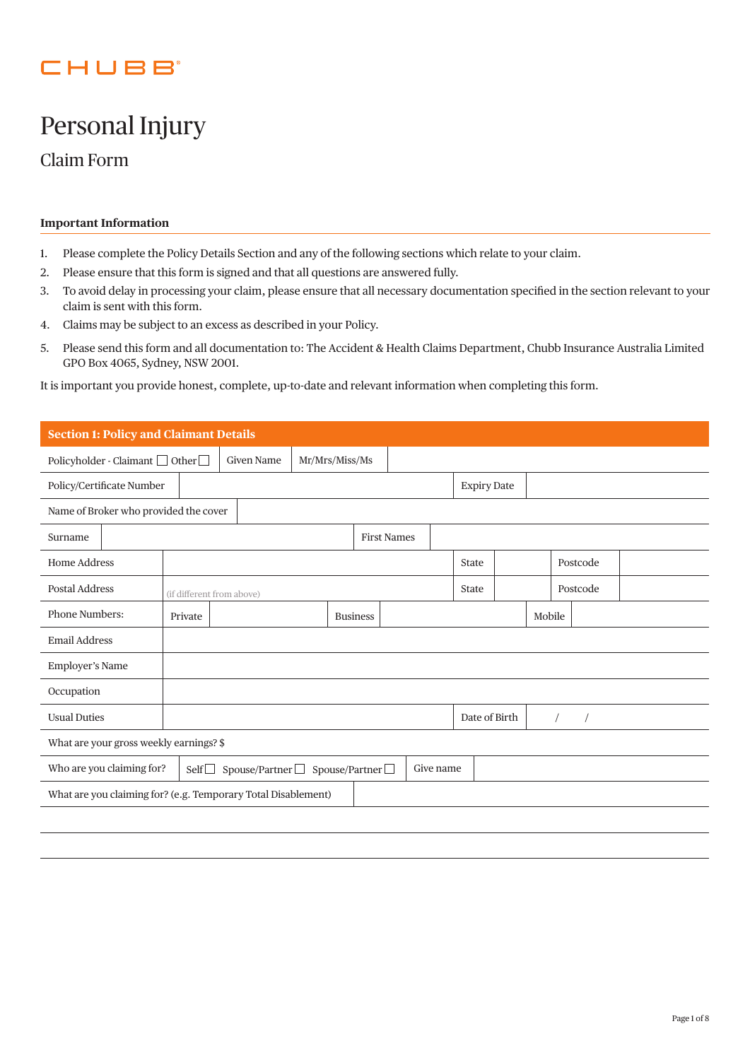## CHUBB

# Personal Injury

Claim Form

## **Important Information**

- 1. Please complete the Policy Details Section and any of the following sections which relate to your claim.
- 2. Please ensure that this form is signed and that all questions are answered fully.
- 3. To avoid delay in processing your claim, please ensure that all necessary documentation specified in the section relevant to your claim is sent with this form.
- 4. Claims may be subject to an excess as described in your Policy.
- 5. Please send this form and all documentation to: The Accident & Health Claims Department, Chubb Insurance Australia Limited GPO Box 4065, Sydney, NSW 2001.

It is important you provide honest, complete, up-to-date and relevant information when completing this form.

|                                                                                            | <b>Section 1: Policy and Claimant Details</b>                                      |  |  |                 |  |        |                    |  |          |  |  |
|--------------------------------------------------------------------------------------------|------------------------------------------------------------------------------------|--|--|-----------------|--|--------|--------------------|--|----------|--|--|
|                                                                                            | <b>Given Name</b><br>Mr/Mrs/Miss/Ms<br>Policyholder - Claimant $\Box$ Other $\Box$ |  |  |                 |  |        |                    |  |          |  |  |
| Policy/Certificate Number                                                                  |                                                                                    |  |  |                 |  |        | <b>Expiry Date</b> |  |          |  |  |
| Name of Broker who provided the cover                                                      |                                                                                    |  |  |                 |  |        |                    |  |          |  |  |
| Surname                                                                                    | <b>First Names</b>                                                                 |  |  |                 |  |        |                    |  |          |  |  |
| <b>Home Address</b>                                                                        |                                                                                    |  |  |                 |  |        | State              |  | Postcode |  |  |
| Postal Address                                                                             | (if different from above)                                                          |  |  |                 |  |        | State              |  | Postcode |  |  |
| <b>Phone Numbers:</b>                                                                      | Private                                                                            |  |  | <b>Business</b> |  | Mobile |                    |  |          |  |  |
| <b>Email Address</b>                                                                       |                                                                                    |  |  |                 |  |        |                    |  |          |  |  |
| <b>Employer's Name</b>                                                                     |                                                                                    |  |  |                 |  |        |                    |  |          |  |  |
| Occupation                                                                                 |                                                                                    |  |  |                 |  |        |                    |  |          |  |  |
| <b>Usual Duties</b>                                                                        | Date of Birth                                                                      |  |  |                 |  |        |                    |  |          |  |  |
| What are your gross weekly earnings? \$                                                    |                                                                                    |  |  |                 |  |        |                    |  |          |  |  |
| Who are you claiming for?<br>Spouse/Partner□ Spouse/Partner□<br>Give name<br>$\text{Self}$ |                                                                                    |  |  |                 |  |        |                    |  |          |  |  |
| What are you claiming for? (e.g. Temporary Total Disablement)                              |                                                                                    |  |  |                 |  |        |                    |  |          |  |  |
|                                                                                            |                                                                                    |  |  |                 |  |        |                    |  |          |  |  |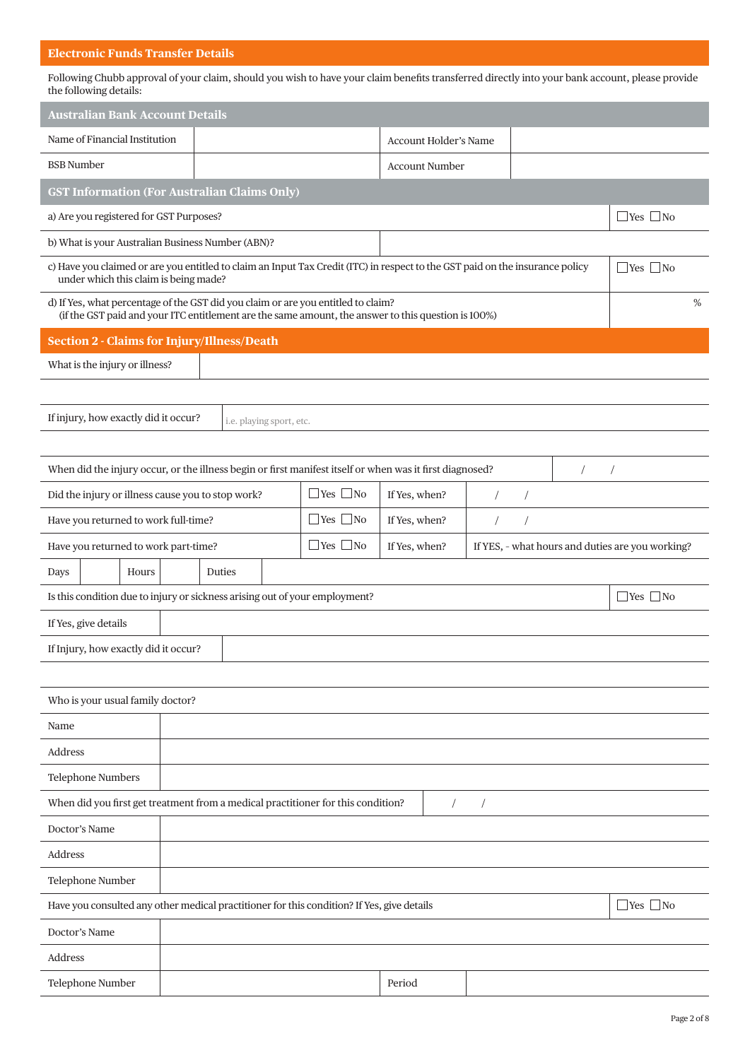## **Electronic Funds Transfer Details**

Following Chubb approval of your claim, should you wish to have your claim benefits transferred directly into your bank account, please provide the following details:

| <b>Australian Bank Account Details</b>                                                                                                                                                         |                          |                      |                              |  |  |                                                  |  |
|------------------------------------------------------------------------------------------------------------------------------------------------------------------------------------------------|--------------------------|----------------------|------------------------------|--|--|--------------------------------------------------|--|
| Name of Financial Institution                                                                                                                                                                  |                          |                      | <b>Account Holder's Name</b> |  |  |                                                  |  |
| <b>BSB</b> Number                                                                                                                                                                              |                          |                      | <b>Account Number</b>        |  |  |                                                  |  |
| <b>GST Information (For Australian Claims Only)</b>                                                                                                                                            |                          |                      |                              |  |  |                                                  |  |
| a) Are you registered for GST Purposes?                                                                                                                                                        |                          |                      |                              |  |  | $\Box$ Yes $\Box$ No                             |  |
| b) What is your Australian Business Number (ABN)?                                                                                                                                              |                          |                      |                              |  |  |                                                  |  |
| c) Have you claimed or are you entitled to claim an Input Tax Credit (ITC) in respect to the GST paid on the insurance policy<br>$\Box$ Yes $\Box$ No<br>under which this claim is being made? |                          |                      |                              |  |  |                                                  |  |
| d) If Yes, what percentage of the GST did you claim or are you entitled to claim?<br>%<br>(if the GST paid and your ITC entitlement are the same amount, the answer to this question is 100%)  |                          |                      |                              |  |  |                                                  |  |
| <b>Section 2 - Claims for Injury/Illness/Death</b>                                                                                                                                             |                          |                      |                              |  |  |                                                  |  |
| What is the injury or illness?                                                                                                                                                                 |                          |                      |                              |  |  |                                                  |  |
|                                                                                                                                                                                                |                          |                      |                              |  |  |                                                  |  |
| If injury, how exactly did it occur?                                                                                                                                                           | i.e. playing sport, etc. |                      |                              |  |  |                                                  |  |
|                                                                                                                                                                                                |                          |                      |                              |  |  |                                                  |  |
| When did the injury occur, or the illness begin or first manifest itself or when was it first diagnosed?                                                                                       |                          |                      |                              |  |  |                                                  |  |
| Did the injury or illness cause you to stop work?                                                                                                                                              |                          | $\Box$ Yes $\Box$ No | If Yes, when?                |  |  |                                                  |  |
| $\Box$ Yes $\Box$ No<br>Have you returned to work full-time?<br>If Yes, when?                                                                                                                  |                          |                      |                              |  |  |                                                  |  |
| Have you returned to work part-time?                                                                                                                                                           |                          | $\Box$ Yes $\Box$ No | If Yes, when?                |  |  | If YES, - what hours and duties are you working? |  |
| Hours<br>Days                                                                                                                                                                                  | Duties                   |                      |                              |  |  |                                                  |  |
| Is this condition due to injury or sickness arising out of your employment?                                                                                                                    |                          |                      |                              |  |  | $\Box$ Yes $\Box$ No                             |  |
| If Yes, give details                                                                                                                                                                           |                          |                      |                              |  |  |                                                  |  |
| If Injury, how exactly did it occur?                                                                                                                                                           |                          |                      |                              |  |  |                                                  |  |
|                                                                                                                                                                                                |                          |                      |                              |  |  |                                                  |  |
| Who is your usual family doctor?                                                                                                                                                               |                          |                      |                              |  |  |                                                  |  |
| Name                                                                                                                                                                                           |                          |                      |                              |  |  |                                                  |  |
| Address                                                                                                                                                                                        |                          |                      |                              |  |  |                                                  |  |
| Telephone Numbers                                                                                                                                                                              |                          |                      |                              |  |  |                                                  |  |
| When did you first get treatment from a medical practitioner for this condition?<br>$\sqrt{2}$<br>$\sqrt{2}$                                                                                   |                          |                      |                              |  |  |                                                  |  |
| Doctor's Name                                                                                                                                                                                  |                          |                      |                              |  |  |                                                  |  |
| Address                                                                                                                                                                                        |                          |                      |                              |  |  |                                                  |  |
| Telephone Number                                                                                                                                                                               |                          |                      |                              |  |  |                                                  |  |
| $\Box$ Yes $\Box$ No<br>Have you consulted any other medical practitioner for this condition? If Yes, give details                                                                             |                          |                      |                              |  |  |                                                  |  |
| Doctor's Name                                                                                                                                                                                  |                          |                      |                              |  |  |                                                  |  |
| Address                                                                                                                                                                                        |                          |                      |                              |  |  |                                                  |  |
| Telephone Number                                                                                                                                                                               |                          |                      | Period                       |  |  |                                                  |  |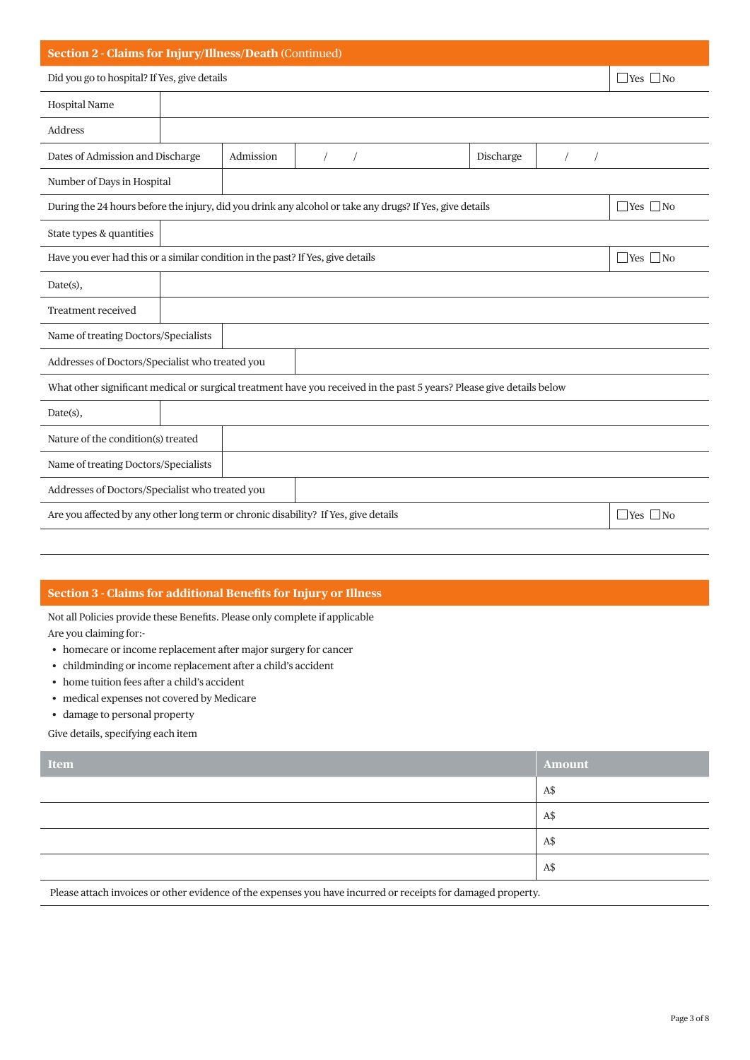#### **Section 2 - Claims for Injury/Illness/Death** (Continued)

Did you go to hospital? If Yes, give details  $\Box$  Yes  $\Box$  No

| <b>Hospital Name</b>                                                                                                  |                                                                                                             |           |           |  |  |                      |                      |  |
|-----------------------------------------------------------------------------------------------------------------------|-------------------------------------------------------------------------------------------------------------|-----------|-----------|--|--|----------------------|----------------------|--|
| Address                                                                                                               |                                                                                                             |           |           |  |  |                      |                      |  |
| Dates of Admission and Discharge                                                                                      |                                                                                                             | Admission | Discharge |  |  |                      |                      |  |
| Number of Days in Hospital                                                                                            |                                                                                                             |           |           |  |  |                      |                      |  |
| During the 24 hours before the injury, did you drink any alcohol or take any drugs? If Yes, give details              |                                                                                                             |           |           |  |  |                      | $\Box$ Yes $\Box$ No |  |
| State types & quantities                                                                                              |                                                                                                             |           |           |  |  |                      |                      |  |
| Have you ever had this or a similar condition in the past? If Yes, give details                                       |                                                                                                             |           |           |  |  | $\Box$ Yes $\Box$ No |                      |  |
| Date(s),                                                                                                              |                                                                                                             |           |           |  |  |                      |                      |  |
| <b>Treatment received</b>                                                                                             |                                                                                                             |           |           |  |  |                      |                      |  |
| Name of treating Doctors/Specialists                                                                                  |                                                                                                             |           |           |  |  |                      |                      |  |
| Addresses of Doctors/Specialist who treated you                                                                       |                                                                                                             |           |           |  |  |                      |                      |  |
| What other significant medical or surgical treatment have you received in the past 5 years? Please give details below |                                                                                                             |           |           |  |  |                      |                      |  |
| Date(s),                                                                                                              |                                                                                                             |           |           |  |  |                      |                      |  |
| Nature of the condition(s) treated                                                                                    |                                                                                                             |           |           |  |  |                      |                      |  |
|                                                                                                                       | Name of treating Doctors/Specialists                                                                        |           |           |  |  |                      |                      |  |
| Addresses of Doctors/Specialist who treated you                                                                       |                                                                                                             |           |           |  |  |                      |                      |  |
|                                                                                                                       | Are you affected by any other long term or chronic disability? If Yes, give details<br>$\Box$ Yes $\Box$ No |           |           |  |  |                      |                      |  |
|                                                                                                                       |                                                                                                             |           |           |  |  |                      |                      |  |

## **Section 3 - Claims for additional Benefits for Injury or Illness**

Not all Policies provide these Benefits. Please only complete if applicable

Are you claiming for:-

- homecare or income replacement after major surgery for cancer
- childminding or income replacement after a child's accident
- home tuition fees after a child's accident
- medical expenses not covered by Medicare
- damage to personal property

Give details, specifying each item

| Item | Amount |
|------|--------|
|      | A\$    |
|      | A\$    |
|      | A\$    |
|      | A\$    |
|      |        |

Please attach invoices or other evidence of the expenses you have incurred or receipts for damaged property.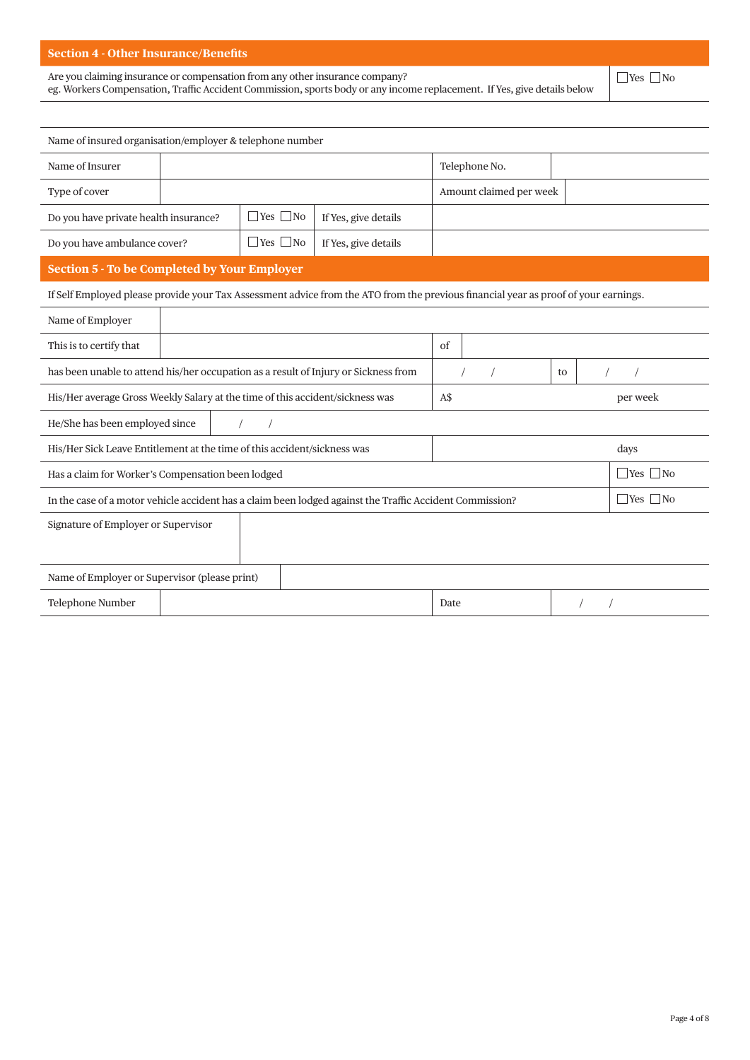## **Section 4 - Other Insurance/Benefits**

Are you claiming insurance or compensation from any other insurance company?

eg. Workers Compensation, Traffic Accident Commission, sports body or any income replacement. If Yes, give details below

 $\Box$ Yes  $\Box$ No

| Name of insured organisation/employer & telephone number                                                                         |                                                                                                                                     |  |      |                         |  |                      |  |  |
|----------------------------------------------------------------------------------------------------------------------------------|-------------------------------------------------------------------------------------------------------------------------------------|--|------|-------------------------|--|----------------------|--|--|
| Name of Insurer                                                                                                                  |                                                                                                                                     |  |      | Telephone No.           |  |                      |  |  |
| Type of cover                                                                                                                    |                                                                                                                                     |  |      | Amount claimed per week |  |                      |  |  |
| $\Box$ Yes $\Box$ No<br>Do you have private health insurance?<br>If Yes, give details                                            |                                                                                                                                     |  |      |                         |  |                      |  |  |
| $\Box$ Yes $\Box$ No<br>Do you have ambulance cover?<br>If Yes, give details                                                     |                                                                                                                                     |  |      |                         |  |                      |  |  |
| <b>Section 5 - To be Completed by Your Employer</b>                                                                              |                                                                                                                                     |  |      |                         |  |                      |  |  |
|                                                                                                                                  | If Self Employed please provide your Tax Assessment advice from the ATO from the previous financial year as proof of your earnings. |  |      |                         |  |                      |  |  |
| Name of Employer                                                                                                                 |                                                                                                                                     |  |      |                         |  |                      |  |  |
| This is to certify that                                                                                                          | of                                                                                                                                  |  |      |                         |  |                      |  |  |
| has been unable to attend his/her occupation as a result of Injury or Sickness from                                              |                                                                                                                                     |  |      |                         |  |                      |  |  |
| His/Her average Gross Weekly Salary at the time of this accident/sickness was                                                    |                                                                                                                                     |  |      | A\$<br>per week         |  |                      |  |  |
| He/She has been employed since                                                                                                   |                                                                                                                                     |  |      |                         |  |                      |  |  |
| His/Her Sick Leave Entitlement at the time of this accident/sickness was                                                         |                                                                                                                                     |  |      |                         |  | days                 |  |  |
| Has a claim for Worker's Compensation been lodged                                                                                |                                                                                                                                     |  |      |                         |  | $\Box$ Yes $\Box$ No |  |  |
| $\Box$ Yes $\Box$ No<br>In the case of a motor vehicle accident has a claim been lodged against the Traffic Accident Commission? |                                                                                                                                     |  |      |                         |  |                      |  |  |
| Signature of Employer or Supervisor                                                                                              |                                                                                                                                     |  |      |                         |  |                      |  |  |
|                                                                                                                                  |                                                                                                                                     |  |      |                         |  |                      |  |  |
| Name of Employer or Supervisor (please print)                                                                                    |                                                                                                                                     |  |      |                         |  |                      |  |  |
| Telephone Number                                                                                                                 |                                                                                                                                     |  | Date |                         |  |                      |  |  |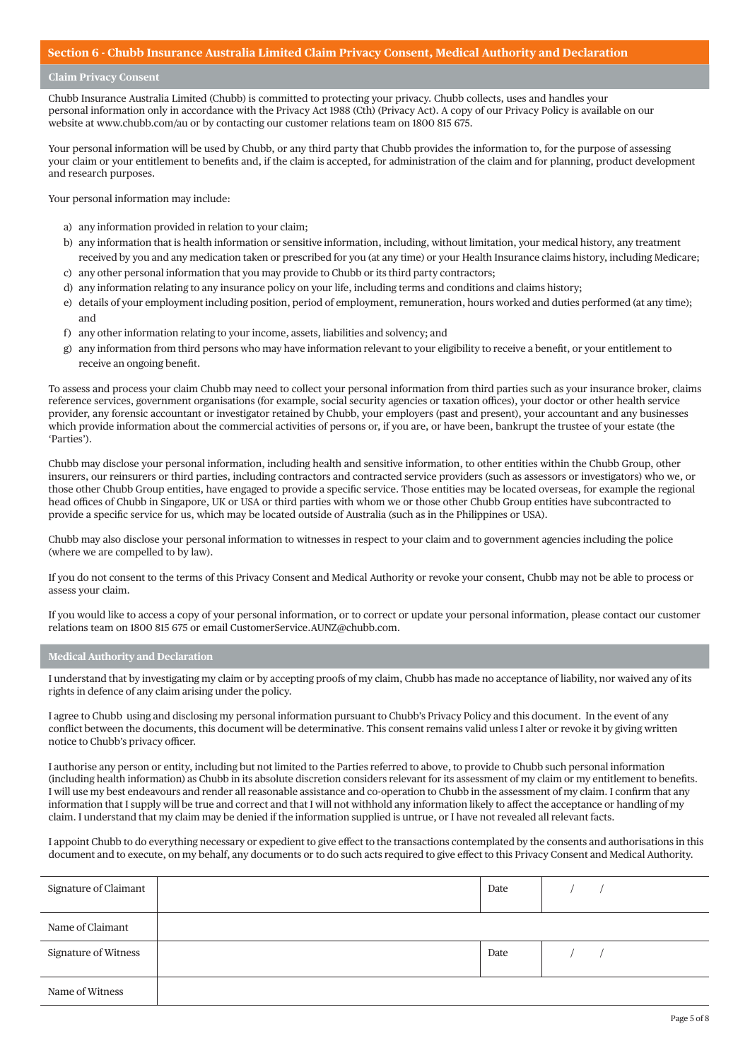#### **Section 6 - Chubb Insurance Australia Limited Claim Privacy Consent, Medical Authority and Declaration**

## **Claim Privacy Consent**

Chubb Insurance Australia Limited (Chubb) is committed to protecting your privacy. Chubb collects, uses and handles your personal information only in accordance with the Privacy Act 1988 (Cth) (Privacy Act). A copy of our Privacy Policy is available on our website at www.chubb.com/au or by contacting our customer relations team on 1800 815 675.

Your personal information will be used by Chubb, or any third party that Chubb provides the information to, for the purpose of assessing your claim or your entitlement to benefits and, if the claim is accepted, for administration of the claim and for planning, product development and research purposes.

Your personal information may include:

- a) any information provided in relation to your claim;
- b) any information that is health information or sensitive information, including, without limitation, your medical history, any treatment received by you and any medication taken or prescribed for you (at any time) or your Health Insurance claims history, including Medicare;
- c) any other personal information that you may provide to Chubb or its third party contractors;
- d) any information relating to any insurance policy on your life, including terms and conditions and claims history;
- e) details of your employment including position, period of employment, remuneration, hours worked and duties performed (at any time); and
- f ) any other information relating to your income, assets, liabilities and solvency; and
- g) any information from third persons who may have information relevant to your eligibility to receive a benefit, or your entitlement to receive an ongoing benefit.

To assess and process your claim Chubb may need to collect your personal information from third parties such as your insurance broker, claims reference services, government organisations (for example, social security agencies or taxation offices), your doctor or other health service provider, any forensic accountant or investigator retained by Chubb, your employers (past and present), your accountant and any businesses which provide information about the commercial activities of persons or, if you are, or have been, bankrupt the trustee of your estate (the 'Parties').

Chubb may disclose your personal information, including health and sensitive information, to other entities within the Chubb Group, other insurers, our reinsurers or third parties, including contractors and contracted service providers (such as assessors or investigators) who we, or those other Chubb Group entities, have engaged to provide a specific service. Those entities may be located overseas, for example the regional head offices of Chubb in Singapore, UK or USA or third parties with whom we or those other Chubb Group entities have subcontracted to provide a specific service for us, which may be located outside of Australia (such as in the Philippines or USA).

Chubb may also disclose your personal information to witnesses in respect to your claim and to government agencies including the police (where we are compelled to by law).

If you do not consent to the terms of this Privacy Consent and Medical Authority or revoke your consent, Chubb may not be able to process or assess your claim.

If you would like to access a copy of your personal information, or to correct or update your personal information, please contact our customer relations team on 1800 815 675 or email CustomerService.AUNZ@chubb.com.

#### **Medical Authority and Declaration**

I understand that by investigating my claim or by accepting proofs of my claim, Chubb has made no acceptance of liability, nor waived any of its rights in defence of any claim arising under the policy.

I agree to Chubb using and disclosing my personal information pursuant to Chubb's Privacy Policy and this document. In the event of any conflict between the documents, this document will be determinative. This consent remains valid unless I alter or revoke it by giving written notice to Chubb's privacy officer.

I authorise any person or entity, including but not limited to the Parties referred to above, to provide to Chubb such personal information (including health information) as Chubb in its absolute discretion considers relevant for its assessment of my claim or my entitlement to benefits. I will use my best endeavours and render all reasonable assistance and co-operation to Chubb in the assessment of my claim. I confirm that any information that I supply will be true and correct and that I will not withhold any information likely to affect the acceptance or handling of my claim. I understand that my claim may be denied if the information supplied is untrue, or I have not revealed all relevant facts.

I appoint Chubb to do everything necessary or expedient to give effect to the transactions contemplated by the consents and authorisations in this document and to execute, on my behalf, any documents or to do such acts required to give effect to this Privacy Consent and Medical Authority.

| Signature of Claimant | Date |  |
|-----------------------|------|--|
| Name of Claimant      |      |  |
| Signature of Witness  | Date |  |
| Name of Witness       |      |  |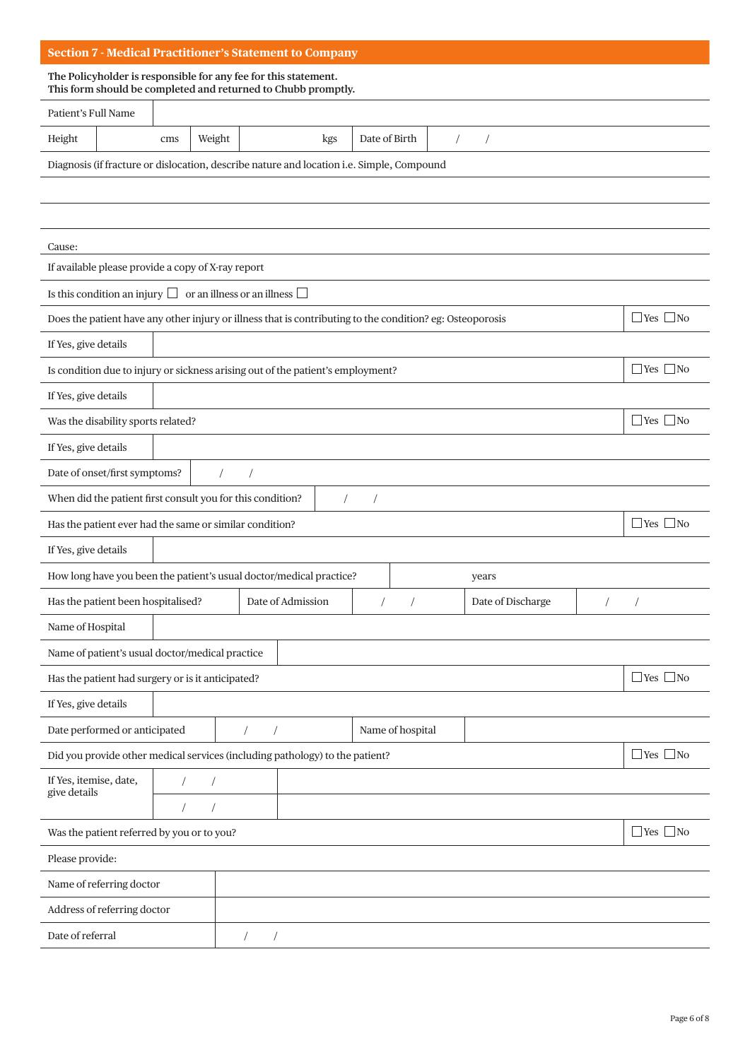| <b>Section 7 - Medical Practitioner's Statement to Company</b>                                                                   |                      |  |  |  |  |  |  |
|----------------------------------------------------------------------------------------------------------------------------------|----------------------|--|--|--|--|--|--|
| The Policyholder is responsible for any fee for this statement.<br>This form should be completed and returned to Chubb promptly. |                      |  |  |  |  |  |  |
| Patient's Full Name                                                                                                              |                      |  |  |  |  |  |  |
| Height<br>Weight<br>Date of Birth<br>$\sqrt{2}$<br>kgs<br>$\sqrt{2}$<br>cms                                                      |                      |  |  |  |  |  |  |
| Diagnosis (if fracture or dislocation, describe nature and location i.e. Simple, Compound                                        |                      |  |  |  |  |  |  |
|                                                                                                                                  |                      |  |  |  |  |  |  |
|                                                                                                                                  |                      |  |  |  |  |  |  |
| Cause:                                                                                                                           |                      |  |  |  |  |  |  |
| If available please provide a copy of X-ray report                                                                               |                      |  |  |  |  |  |  |
| Is this condition an injury $\Box$ or an illness or an illness $\Box$                                                            |                      |  |  |  |  |  |  |
| Does the patient have any other injury or illness that is contributing to the condition? eg: Osteoporosis                        | $\Box$ Yes $\Box$ No |  |  |  |  |  |  |
| If Yes, give details                                                                                                             |                      |  |  |  |  |  |  |
| Is condition due to injury or sickness arising out of the patient's employment?                                                  | $\Box$ Yes $\Box$ No |  |  |  |  |  |  |
| If Yes, give details                                                                                                             |                      |  |  |  |  |  |  |
| Was the disability sports related?                                                                                               | $\Box$ Yes $\Box$ No |  |  |  |  |  |  |
| If Yes, give details                                                                                                             |                      |  |  |  |  |  |  |
| Date of onset/first symptoms?                                                                                                    |                      |  |  |  |  |  |  |
| When did the patient first consult you for this condition?                                                                       |                      |  |  |  |  |  |  |
| Has the patient ever had the same or similar condition?                                                                          | $\Box$ Yes $\Box$ No |  |  |  |  |  |  |
| If Yes, give details                                                                                                             |                      |  |  |  |  |  |  |
| How long have you been the patient's usual doctor/medical practice?<br>years                                                     |                      |  |  |  |  |  |  |
| Has the patient been hospitalised?<br>Date of Admission<br>Date of Discharge<br>$\sqrt{2}$                                       | $\prime$             |  |  |  |  |  |  |
| Name of Hospital                                                                                                                 |                      |  |  |  |  |  |  |
| Name of patient's usual doctor/medical practice                                                                                  |                      |  |  |  |  |  |  |
| Has the patient had surgery or is it anticipated?                                                                                | $\Box$ Yes $\Box$ No |  |  |  |  |  |  |
| If Yes, give details                                                                                                             |                      |  |  |  |  |  |  |
| Date performed or anticipated<br>Name of hospital<br>$\sqrt{2}$<br>$\overline{1}$                                                |                      |  |  |  |  |  |  |
| $\Box$ Yes $\Box$ No<br>Did you provide other medical services (including pathology) to the patient?                             |                      |  |  |  |  |  |  |
| If Yes, itemise, date,<br>give details                                                                                           |                      |  |  |  |  |  |  |
| $\sqrt{2}$                                                                                                                       |                      |  |  |  |  |  |  |
| $\Box$ Yes $\Box$ No<br>Was the patient referred by you or to you?                                                               |                      |  |  |  |  |  |  |
| Please provide:                                                                                                                  |                      |  |  |  |  |  |  |
| Name of referring doctor                                                                                                         |                      |  |  |  |  |  |  |
| Address of referring doctor                                                                                                      |                      |  |  |  |  |  |  |
| Date of referral<br>$\sqrt{2}$<br>$\overline{1}$                                                                                 |                      |  |  |  |  |  |  |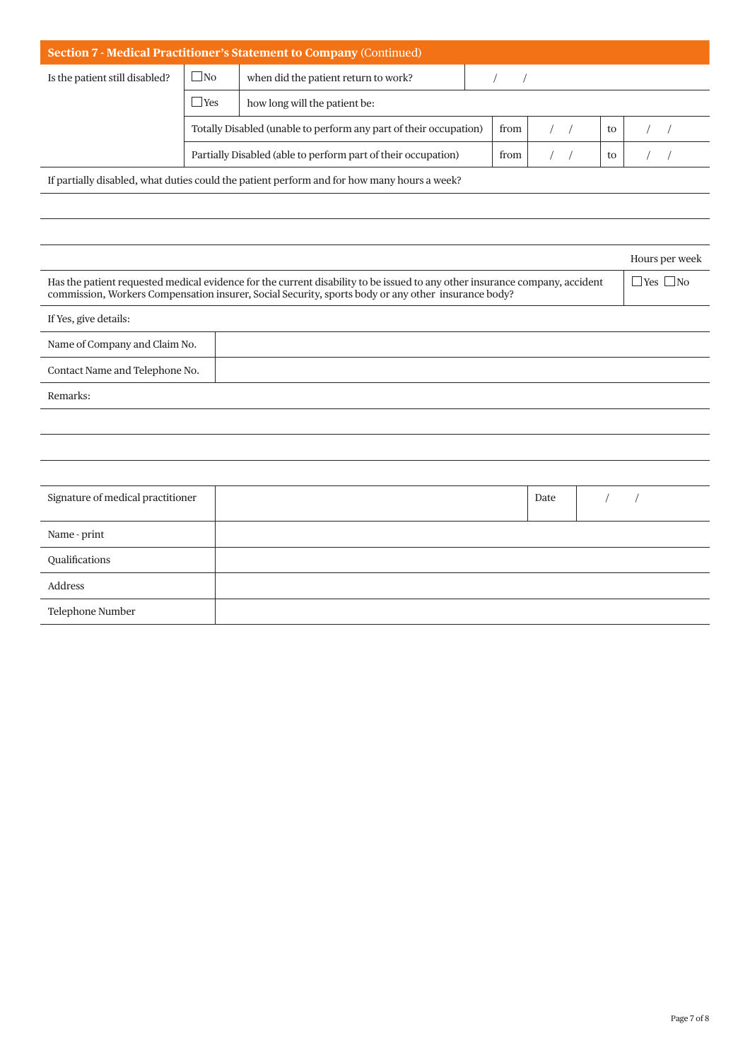| <b>Section 7 - Medical Practitioner's Statement to Company (Continued)</b>                                                                                                                                                                                                                                                                                                                                                                                   |           |                                                                   |      |  |  |  |    |  |  |
|--------------------------------------------------------------------------------------------------------------------------------------------------------------------------------------------------------------------------------------------------------------------------------------------------------------------------------------------------------------------------------------------------------------------------------------------------------------|-----------|-------------------------------------------------------------------|------|--|--|--|----|--|--|
| Is the patient still disabled?                                                                                                                                                                                                                                                                                                                                                                                                                               | $\Box$ No | when did the patient return to work?                              |      |  |  |  |    |  |  |
|                                                                                                                                                                                                                                                                                                                                                                                                                                                              | Yes       | how long will the patient be:                                     |      |  |  |  |    |  |  |
|                                                                                                                                                                                                                                                                                                                                                                                                                                                              |           | Totally Disabled (unable to perform any part of their occupation) | from |  |  |  | to |  |  |
|                                                                                                                                                                                                                                                                                                                                                                                                                                                              |           | Partially Disabled (able to perform part of their occupation)     | from |  |  |  | to |  |  |
| $\mathcal{L} = \mathcal{L} = \mathcal{L} = \mathcal{L} = \mathcal{L} = \mathcal{L} = \mathcal{L} = \mathcal{L} = \mathcal{L} = \mathcal{L} = \mathcal{L} = \mathcal{L} = \mathcal{L} = \mathcal{L} = \mathcal{L} = \mathcal{L} = \mathcal{L} = \mathcal{L} = \mathcal{L} = \mathcal{L} = \mathcal{L} = \mathcal{L} = \mathcal{L} = \mathcal{L} = \mathcal{L} = \mathcal{L} = \mathcal{L} = \mathcal{L} = \mathcal{L} = \mathcal{L} = \mathcal{L} = \mathcal$ |           |                                                                   |      |  |  |  |    |  |  |

If partially disabled, what duties could the patient perform and for how many hours a week?

|                                                                                                                                                                                                                                    |  |      |  | Hours per week |  |  |
|------------------------------------------------------------------------------------------------------------------------------------------------------------------------------------------------------------------------------------|--|------|--|----------------|--|--|
| Has the patient requested medical evidence for the current disability to be issued to any other insurance company, accident<br>commission, Workers Compensation insurer, Social Security, sports body or any other insurance body? |  |      |  |                |  |  |
| If Yes, give details:                                                                                                                                                                                                              |  |      |  |                |  |  |
| Name of Company and Claim No.                                                                                                                                                                                                      |  |      |  |                |  |  |
| Contact Name and Telephone No.                                                                                                                                                                                                     |  |      |  |                |  |  |
| Remarks:                                                                                                                                                                                                                           |  |      |  |                |  |  |
|                                                                                                                                                                                                                                    |  |      |  |                |  |  |
|                                                                                                                                                                                                                                    |  |      |  |                |  |  |
|                                                                                                                                                                                                                                    |  |      |  |                |  |  |
| Signature of medical practitioner                                                                                                                                                                                                  |  | Date |  |                |  |  |
| Name - print                                                                                                                                                                                                                       |  |      |  |                |  |  |
| Qualifications                                                                                                                                                                                                                     |  |      |  |                |  |  |
| Address                                                                                                                                                                                                                            |  |      |  |                |  |  |
| Telephone Number                                                                                                                                                                                                                   |  |      |  |                |  |  |